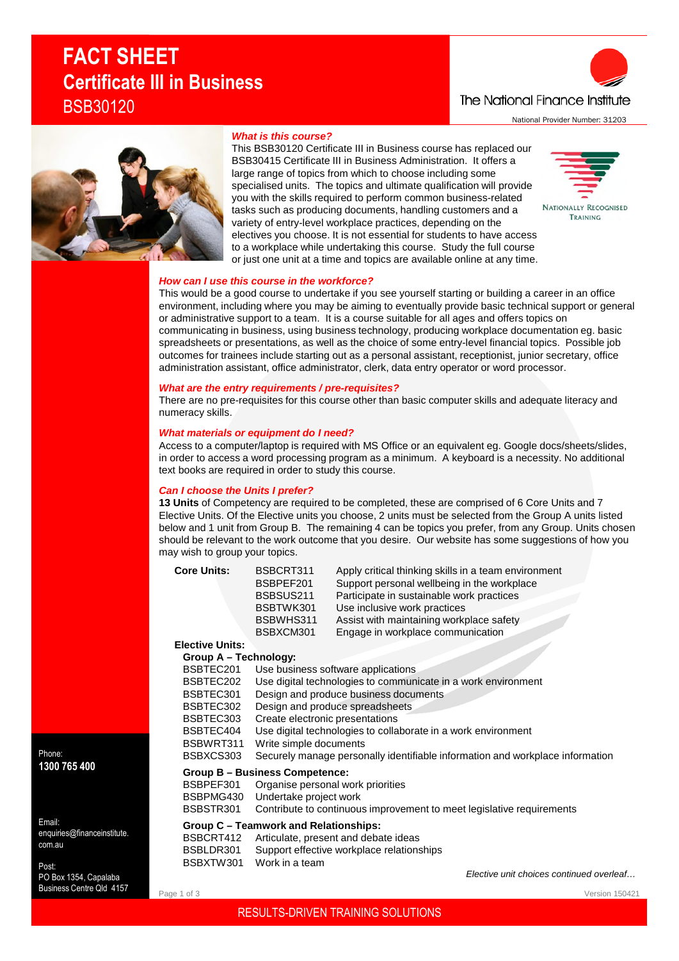# **FACT SHEET Certificate III in Business** BSB30120





#### *What is this course?*

This BSB30120 Certificate III in Business course has replaced our BSB30415 Certificate III in Business Administration. It offers a large range of topics from which to choose including some specialised units. The topics and ultimate qualification will provide you with the skills required to perform common business-related tasks such as producing documents, handling customers and a variety of entry-level workplace practices, depending on the electives you choose. It is not essential for students to have access to a workplace while undertaking this course. Study the full course or just one unit at a time and topics are available online at any time.

# **NATIONALLY RECOGNISED** TRAINING

#### *How can I use this course in the workforce?*

This would be a good course to undertake if you see yourself starting or building a career in an office environment, including where you may be aiming to eventually provide basic technical support or general or administrative support to a team. It is a course suitable for all ages and offers topics on communicating in business, using business technology, producing workplace documentation eg. basic

spreadsheets or presentations, as well as the choice of some entry-level financial topics. Possible job outcomes for trainees include starting out as a personal assistant, receptionist, junior secretary, office administration assistant, office administrator, clerk, data entry operator or word processor.

# *What are the entry requirements / pre-requisites?*

There are no pre-requisites for this course other than basic computer skills and adequate literacy and numeracy skills.

#### *What materials or equipment do I need?*

Access to a computer/laptop is required with MS Office or an equivalent eg. Google docs/sheets/slides, in order to access a word processing program as a minimum. A keyboard is a necessity. No additional text books are required in order to study this course.

# *Can I choose the Units I prefer?*

**Elective Units:**

**13 Units** of Competency are required to be completed, these are comprised of 6 Core Units and 7 Elective Units. Of the Elective units you choose, 2 units must be selected from the Group A units listed below and 1 unit from Group B. The remaining 4 can be topics you prefer, from any Group. Units chosen should be relevant to the work outcome that you desire. Our website has some suggestions of how you may wish to group your topics.

**Core Units:** BSBCRT311 Apply critical thinking skills in a team environment

BSBPEF201 Support personal wellbeing in the workplace BSBSUS211 Participate in sustainable work practices BSBTWK301 Use inclusive work practices BSBWHS311 Assist with maintaining workplace safety<br>BSBXCM301 Fngage in workplace communication Engage in workplace communication **Group A – Technology:**

| BSBTEC201 | Use business software applications                                            |
|-----------|-------------------------------------------------------------------------------|
| BSBTEC202 | Use digital technologies to communicate in a work environment                 |
| BSBTEC301 | Design and produce business documents                                         |
| BSBTEC302 | Design and produce spreadsheets                                               |
| BSBTEC303 | Create electronic presentations                                               |
| BSBTEC404 | Use digital technologies to collaborate in a work environment                 |
| BSBWRT311 | Write simple documents                                                        |
| BSBXCS303 | Securely manage personally identifiable information and workplace information |
|           | <b>Group B - Business Competence:</b>                                         |
| BSBPEF301 | Organise personal work priorities                                             |
| BSBPMG430 | Undertake project work                                                        |
| BSBSTR301 | Contribute to continuous improvement to meet legislative requirements         |
|           | Group C – Teamwork and Relationships:                                         |
| BSBCRT412 | Articulate, present and debate ideas                                          |
| BSBLDR301 | Support effective workplace relationships                                     |
| BSBXTW301 | Work in a team                                                                |
|           | Flective unit choices continued overlea                                       |

Phone: **1300 765 400**

Email: enquiries@financeinstitute. com.au

Post: PO Box 1354, Capalaba Business Centre Qld 4157

Page 1 of 3

*Elective unit choices continued overleaf…*

Version 150421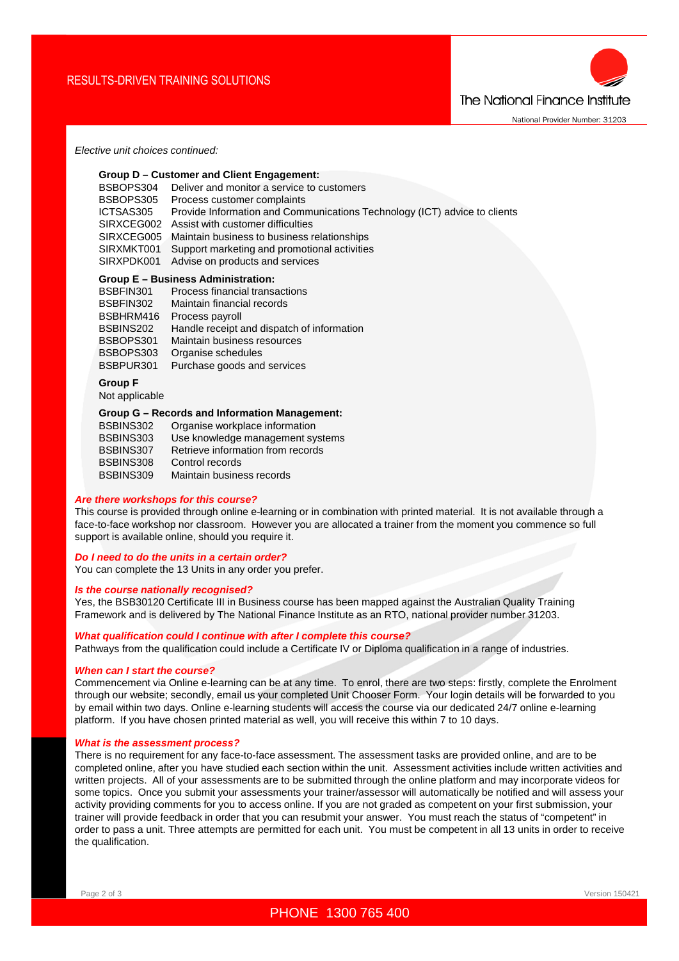

#### *Elective unit choices continued:*

|                | Group D - Customer and Client Engagement:                                 |
|----------------|---------------------------------------------------------------------------|
| BSBOPS304      | Deliver and monitor a service to customers                                |
| BSBOPS305      | Process customer complaints                                               |
| ICTSAS305      | Provide Information and Communications Technology (ICT) advice to clients |
|                | SIRXCEG002 Assist with customer difficulties                              |
| SIRXCEG005     | Maintain business to business relationships                               |
| SIRXMKT001     | Support marketing and promotional activities                              |
| SIRXPDK001     | Advise on products and services                                           |
|                | Group E – Business Administration:                                        |
| BSBFIN301      | Process financial transactions                                            |
| BSBFIN302      | Maintain financial records                                                |
| BSBHRM416      | Process payroll                                                           |
| BSBINS202      | Handle receipt and dispatch of information                                |
| BSBOPS301      | Maintain business resources                                               |
| BSBOPS303      | Organise schedules                                                        |
| BSBPUR301      | Purchase goods and services                                               |
| <b>Group F</b> |                                                                           |
| Not applicable |                                                                           |
|                | <b>Group G - Records and Information Management:</b>                      |
| BSBINS302      | Organise workplace information<br>$\overline{D}$                          |
|                |                                                                           |

| <b>DUDINUOUZ</b> | Organise workplace information    |
|------------------|-----------------------------------|
| BSBINS303        | Use knowledge management systems  |
| BSBINS307        | Retrieve information from records |
| BSBINS308        | Control records                   |
| BSBINS309        | Maintain business records         |

#### *Are there workshops for this course?*

This course is provided through online e-learning or in combination with printed material. It is not available through a face-to-face workshop nor classroom. However you are allocated a trainer from the moment you commence so full support is available online, should you require it.

# *Do I need to do the units in a certain order?*

You can complete the 13 Units in any order you prefer.

#### *Is the course nationally recognised?*

Yes, the BSB30120 Certificate III in Business course has been mapped against the Australian Quality Training Framework and is delivered by The National Finance Institute as an RTO, national provider number 31203.

#### *What qualification could I continue with after I complete this course?*

Pathways from the qualification could include a Certificate IV or Diploma qualification in a range of industries.

#### *When can I start the course?*

Commencement via Online e-learning can be at any time. To enrol, there are two steps: firstly, complete the Enrolment through our website; secondly, email us your completed Unit Chooser Form. Your login details will be forwarded to you by email within two days. Online e-learning students will access the course via our dedicated 24/7 online e-learning platform. If you have chosen printed material as well, you will receive this within 7 to 10 days.

#### *What is the assessment process?*

There is no requirement for any face-to-face assessment. The assessment tasks are provided online, and are to be completed online, after you have studied each section within the unit. Assessment activities include written activities and written projects. All of your assessments are to be submitted through the online platform and may incorporate videos for some topics. Once you submit your assessments your trainer/assessor will automatically be notified and will assess your activity providing comments for you to access online. If you are not graded as competent on your first submission, your trainer will provide feedback in order that you can resubmit your answer. You must reach the status of "competent" in order to pass a unit. Three attempts are permitted for each unit. You must be competent in all 13 units in order to receive the qualification.